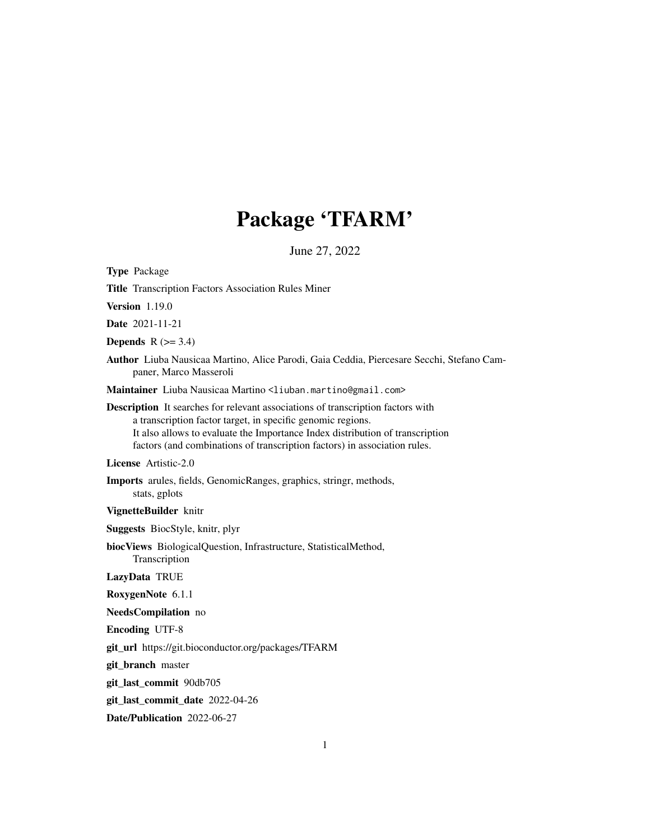# Package 'TFARM'

June 27, 2022

<span id="page-0-0"></span>

| <b>Type Package</b>                                                                                                                                                                                                                                                                                                 |
|---------------------------------------------------------------------------------------------------------------------------------------------------------------------------------------------------------------------------------------------------------------------------------------------------------------------|
| Title Transcription Factors Association Rules Miner                                                                                                                                                                                                                                                                 |
| <b>Version</b> 1.19.0                                                                                                                                                                                                                                                                                               |
| <b>Date</b> 2021-11-21                                                                                                                                                                                                                                                                                              |
| <b>Depends</b> $R$ ( $>= 3.4$ )                                                                                                                                                                                                                                                                                     |
| Author Liuba Nausicaa Martino, Alice Parodi, Gaia Ceddia, Piercesare Secchi, Stefano Cam-<br>paner, Marco Masseroli                                                                                                                                                                                                 |
| Maintainer Liuba Nausicaa Martino <liuban.martino@gmail.com></liuban.martino@gmail.com>                                                                                                                                                                                                                             |
| <b>Description</b> It searches for relevant associations of transcription factors with<br>a transcription factor target, in specific genomic regions.<br>It also allows to evaluate the Importance Index distribution of transcription<br>factors (and combinations of transcription factors) in association rules. |
| License Artistic-2.0                                                                                                                                                                                                                                                                                                |
| <b>Imports</b> arules, fields, GenomicRanges, graphics, stringr, methods,<br>stats, gplots                                                                                                                                                                                                                          |
| VignetteBuilder knitr                                                                                                                                                                                                                                                                                               |
| <b>Suggests</b> BiocStyle, knitr, plyr                                                                                                                                                                                                                                                                              |
| biocViews BiologicalQuestion, Infrastructure, StatisticalMethod,<br>Transcription                                                                                                                                                                                                                                   |
| LazyData TRUE                                                                                                                                                                                                                                                                                                       |
| RoxygenNote 6.1.1                                                                                                                                                                                                                                                                                                   |
| NeedsCompilation no                                                                                                                                                                                                                                                                                                 |
| <b>Encoding UTF-8</b>                                                                                                                                                                                                                                                                                               |
| git_url https://git.bioconductor.org/packages/TFARM                                                                                                                                                                                                                                                                 |
| git_branch master                                                                                                                                                                                                                                                                                                   |
| git_last_commit 90db705                                                                                                                                                                                                                                                                                             |
| git_last_commit_date 2022-04-26                                                                                                                                                                                                                                                                                     |

Date/Publication 2022-06-27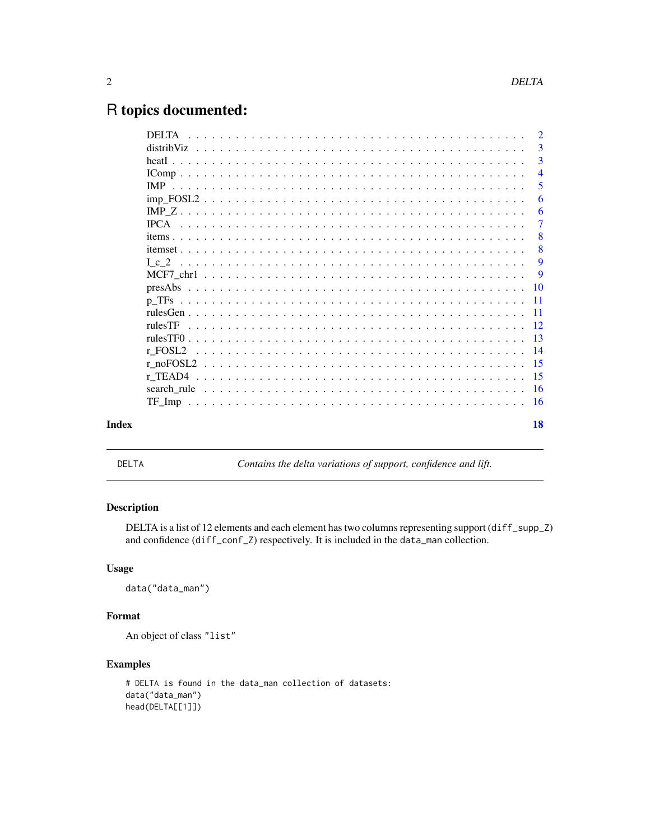# <span id="page-1-0"></span>R topics documented:

|       | <b>DELTA</b> | $\overline{2}$ |
|-------|--------------|----------------|
|       |              | 3              |
|       |              | 3              |
|       |              | $\overline{4}$ |
|       |              | 5              |
|       |              | 6              |
|       |              | 6              |
|       |              | 7              |
|       |              | 8              |
|       |              | 8              |
|       |              | 9              |
|       |              | -9             |
|       |              |                |
|       |              |                |
|       |              |                |
|       |              |                |
|       |              |                |
|       | r FOSL2      |                |
|       |              |                |
|       |              | $-15$          |
|       |              |                |
|       | TF Imp       |                |
| Index |              | 18             |

DELTA *Contains the delta variations of support, confidence and lift.*

### Description

DELTA is a list of 12 elements and each element has two columns representing support (diff\_supp\_Z) and confidence (diff\_conf\_Z) respectively. It is included in the data\_man collection.

#### Usage

data("data\_man")

#### Format

An object of class "list"

```
# DELTA is found in the data_man collection of datasets:
data("data_man")
head(DELTA[[1]])
```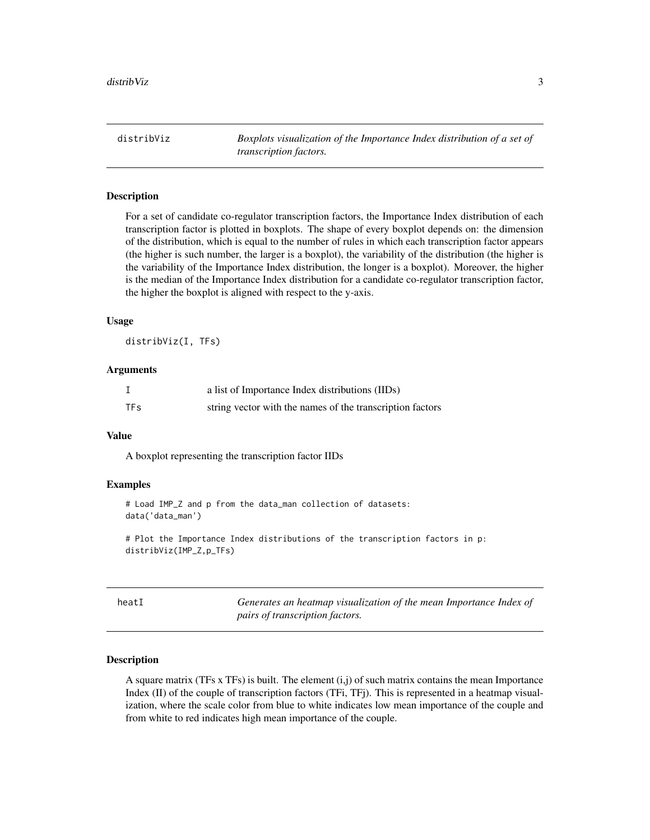<span id="page-2-0"></span>distribViz *Boxplots visualization of the Importance Index distribution of a set of transcription factors.*

#### Description

For a set of candidate co-regulator transcription factors, the Importance Index distribution of each transcription factor is plotted in boxplots. The shape of every boxplot depends on: the dimension of the distribution, which is equal to the number of rules in which each transcription factor appears (the higher is such number, the larger is a boxplot), the variability of the distribution (the higher is the variability of the Importance Index distribution, the longer is a boxplot). Moreover, the higher is the median of the Importance Index distribution for a candidate co-regulator transcription factor, the higher the boxplot is aligned with respect to the y-axis.

#### Usage

distribViz(I, TFs)

#### Arguments

|            | a list of Importance Index distributions (IIDs)           |
|------------|-----------------------------------------------------------|
| <b>TFs</b> | string vector with the names of the transcription factors |

#### Value

A boxplot representing the transcription factor IIDs

#### Examples

```
# Load IMP_Z and p from the data_man collection of datasets:
data('data_man')
```
# Plot the Importance Index distributions of the transcription factors in p: distribViz(IMP\_Z,p\_TFs)

| ×<br>۰,<br>۰.<br>۰, |  |
|---------------------|--|
|---------------------|--|

Generates an heatmap visualization of the mean Importance Index of *pairs of transcription factors.*

#### Description

A square matrix (TFs x TFs) is built. The element (i,j) of such matrix contains the mean Importance Index (II) of the couple of transcription factors (TFi, TFj). This is represented in a heatmap visualization, where the scale color from blue to white indicates low mean importance of the couple and from white to red indicates high mean importance of the couple.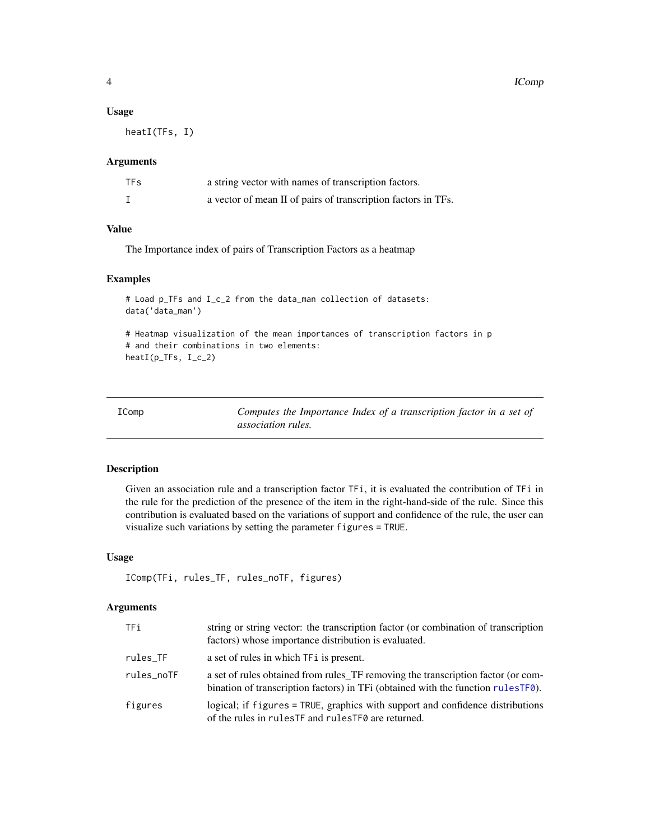#### Usage

heatI(TFs, I)

#### Arguments

| TF <sub>S</sub> | a string vector with names of transcription factors.          |
|-----------------|---------------------------------------------------------------|
|                 | a vector of mean II of pairs of transcription factors in TFs. |

#### Value

The Importance index of pairs of Transcription Factors as a heatmap

#### Examples

```
# Load p_TFs and I_c_2 from the data_man collection of datasets:
data('data_man')
# Heatmap visualization of the mean importances of transcription factors in p
# and their combinations in two elements:
```

```
heatI(p_TFs, I_c_2)
```

| IComp | Computes the Importance Index of a transcription factor in a set of |
|-------|---------------------------------------------------------------------|
|       | <i>association rules.</i>                                           |

#### Description

Given an association rule and a transcription factor TFi, it is evaluated the contribution of TFi in the rule for the prediction of the presence of the item in the right-hand-side of the rule. Since this contribution is evaluated based on the variations of support and confidence of the rule, the user can visualize such variations by setting the parameter figures = TRUE.

#### Usage

```
IComp(TFi, rules_TF, rules_noTF, figures)
```
#### Arguments

| TFi.       | string or string vector: the transcription factor (or combination of transcription<br>factors) whose importance distribution is evaluated.                               |
|------------|--------------------------------------------------------------------------------------------------------------------------------------------------------------------------|
| rules_TF   | a set of rules in which TF i is present.                                                                                                                                 |
| rules noTF | a set of rules obtained from rules_TF removing the transcription factor (or com-<br>bination of transcription factors) in TFi (obtained with the function rules $TF0$ ). |
| figures    | logical; if figures = TRUE, graphics with support and confidence distributions<br>of the rules in rules TF and rules TF0 are returned.                                   |

<span id="page-3-0"></span>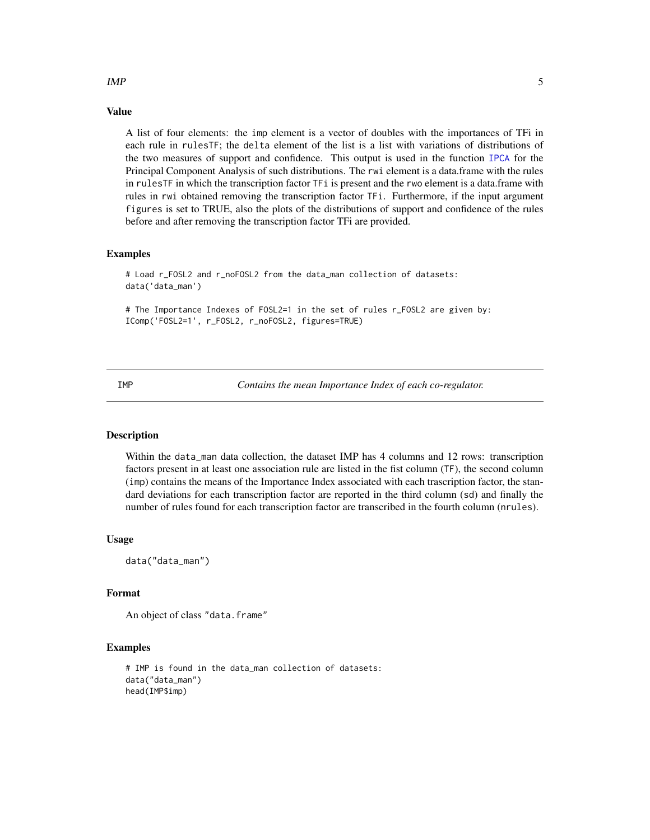### Value

A list of four elements: the imp element is a vector of doubles with the importances of TFi in each rule in rulesTF; the delta element of the list is a list with variations of distributions of the two measures of support and confidence. This output is used in the function [IPCA](#page-6-1) for the Principal Component Analysis of such distributions. The rwi element is a data.frame with the rules in rulesTF in which the transcription factor TFi is present and the rwo element is a data.frame with rules in rwi obtained removing the transcription factor TFi. Furthermore, if the input argument figures is set to TRUE, also the plots of the distributions of support and confidence of the rules before and after removing the transcription factor TFi are provided.

#### Examples

# Load r\_FOSL2 and r\_noFOSL2 from the data\_man collection of datasets: data('data\_man')

# The Importance Indexes of FOSL2=1 in the set of rules r\_FOSL2 are given by: IComp('FOSL2=1', r\_FOSL2, r\_noFOSL2, figures=TRUE)

IMP *Contains the mean Importance Index of each co-regulator.*

#### Description

Within the data\_man data collection, the dataset IMP has 4 columns and 12 rows: transcription factors present in at least one association rule are listed in the fist column (TF), the second column (imp) contains the means of the Importance Index associated with each trascription factor, the standard deviations for each transcription factor are reported in the third column (sd) and finally the number of rules found for each transcription factor are transcribed in the fourth column (nrules).

#### Usage

data("data\_man")

#### Format

An object of class "data.frame"

#### Examples

```
# IMP is found in the data_man collection of datasets:
data("data_man")
head(IMP$imp)
```
<span id="page-4-0"></span> $IMP$  5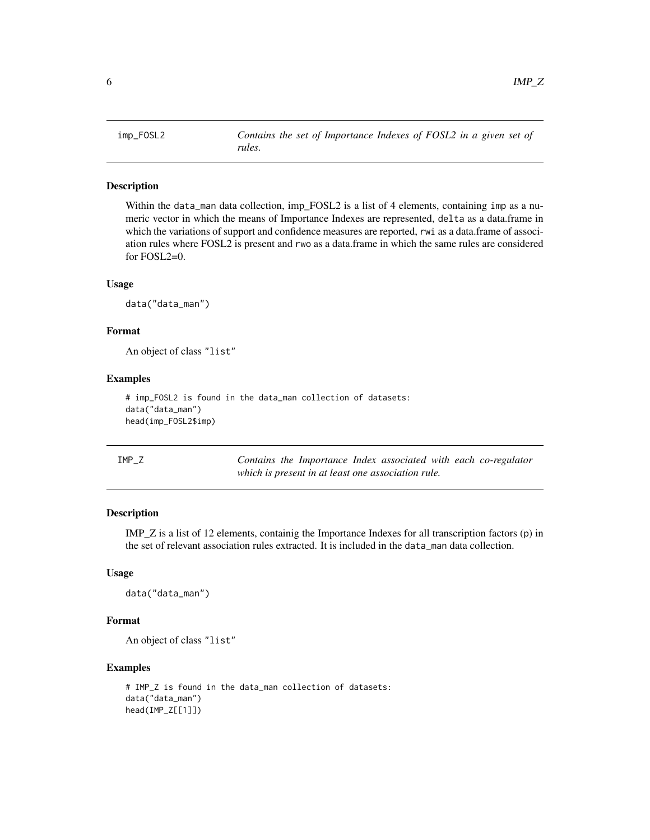<span id="page-5-0"></span>

#### Description

Within the data\_man data collection, imp\_FOSL2 is a list of 4 elements, containing imp as a numeric vector in which the means of Importance Indexes are represented, delta as a data.frame in which the variations of support and confidence measures are reported, rwi as a data.frame of association rules where FOSL2 is present and rwo as a data.frame in which the same rules are considered for FOSL2=0.

#### Usage

data("data\_man")

#### Format

An object of class "list"

#### Examples

```
# imp_FOSL2 is found in the data_man collection of datasets:
data("data_man")
head(imp_FOSL2$imp)
```

| IMP Z |  |                                                    |  |  | Contains the Importance Index associated with each co-regulator |
|-------|--|----------------------------------------------------|--|--|-----------------------------------------------------------------|
|       |  | which is present in at least one association rule. |  |  |                                                                 |

#### Description

IMP\_Z is a list of 12 elements, containig the Importance Indexes for all transcription factors (p) in the set of relevant association rules extracted. It is included in the data\_man data collection.

#### Usage

data("data\_man")

#### Format

An object of class "list"

```
# IMP_Z is found in the data_man collection of datasets:
data("data_man")
head(IMP_Z[[1]])
```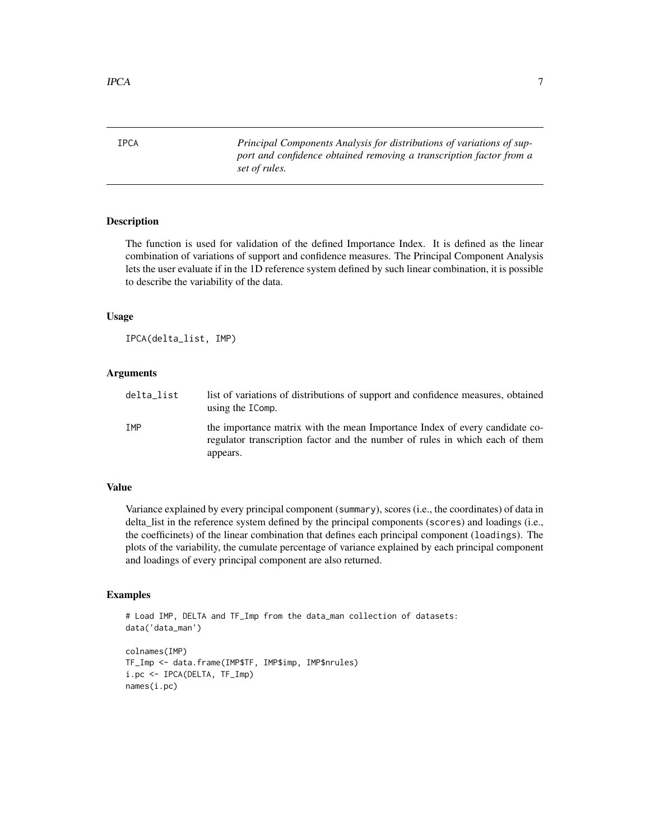<span id="page-6-0"></span>

<span id="page-6-1"></span>IPCA *Principal Components Analysis for distributions of variations of support and confidence obtained removing a transcription factor from a set of rules.*

#### Description

The function is used for validation of the defined Importance Index. It is defined as the linear combination of variations of support and confidence measures. The Principal Component Analysis lets the user evaluate if in the 1D reference system defined by such linear combination, it is possible to describe the variability of the data.

#### Usage

IPCA(delta\_list, IMP)

#### Arguments

| delta_list | list of variations of distributions of support and confidence measures, obtained<br>using the IComp.                                                                    |
|------------|-------------------------------------------------------------------------------------------------------------------------------------------------------------------------|
| IMP        | the importance matrix with the mean Importance Index of every candidate co-<br>regulator transcription factor and the number of rules in which each of them<br>appears. |

#### Value

Variance explained by every principal component (summary), scores (i.e., the coordinates) of data in delta\_list in the reference system defined by the principal components (scores) and loadings (i.e., the coefficinets) of the linear combination that defines each principal component (loadings). The plots of the variability, the cumulate percentage of variance explained by each principal component and loadings of every principal component are also returned.

```
# Load IMP, DELTA and TF_Imp from the data_man collection of datasets:
data('data_man')
colnames(IMP)
TF_Imp <- data.frame(IMP$TF, IMP$imp, IMP$nrules)
i.pc <- IPCA(DELTA, TF_Imp)
names(i.pc)
```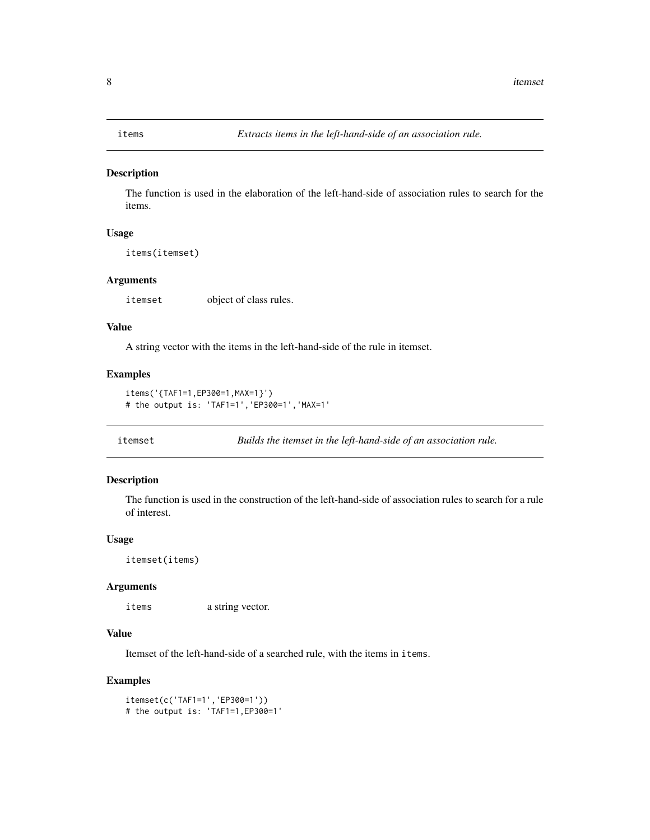<span id="page-7-0"></span>

#### Description

The function is used in the elaboration of the left-hand-side of association rules to search for the items.

#### Usage

items(itemset)

#### Arguments

itemset object of class rules.

### Value

A string vector with the items in the left-hand-side of the rule in itemset.

#### Examples

```
items('{TAF1=1,EP300=1,MAX=1}')
# the output is: 'TAF1=1','EP300=1','MAX=1'
```
itemset *Builds the itemset in the left-hand-side of an association rule.*

#### Description

The function is used in the construction of the left-hand-side of association rules to search for a rule of interest.

#### Usage

itemset(items)

#### Arguments

items a string vector.

#### Value

Itemset of the left-hand-side of a searched rule, with the items in items.

```
itemset(c('TAF1=1','EP300=1'))
# the output is: 'TAF1=1,EP300=1'
```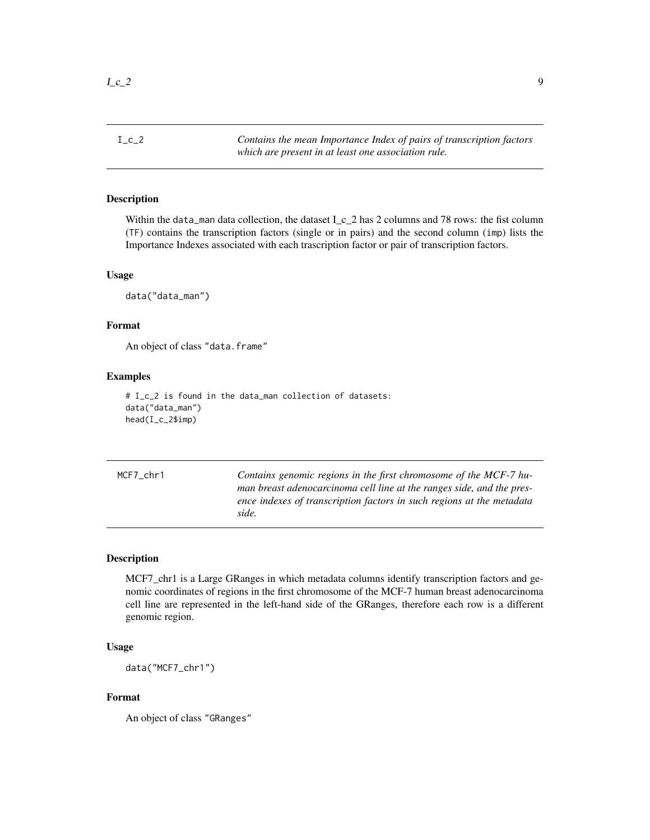<span id="page-8-0"></span>I\_c\_2 *Contains the mean Importance Index of pairs of transcription factors which are present in at least one association rule.*

#### Description

Within the data man data collection, the dataset  $I_c_2$  has 2 columns and 78 rows: the fist column (TF) contains the transcription factors (single or in pairs) and the second column (imp) lists the Importance Indexes associated with each trascription factor or pair of transcription factors.

#### Usage

data("data\_man")

#### Format

An object of class "data.frame"

#### Examples

```
# I_c_2 is found in the data_man collection of datasets:
data("data_man")
head(I_c_2$imp)
```

| MCF7 chr1 | Contains genomic regions in the first chromosome of the MCF-7 hu-     |
|-----------|-----------------------------------------------------------------------|
|           | man breast adenocarcinoma cell line at the ranges side, and the pres- |
|           | ence indexes of transcription factors in such regions at the metadata |
|           | side.                                                                 |

#### Description

MCF7\_chr1 is a Large GRanges in which metadata columns identify transcription factors and genomic coordinates of regions in the first chromosome of the MCF-7 human breast adenocarcinoma cell line are represented in the left-hand side of the GRanges, therefore each row is a different genomic region.

#### Usage

data("MCF7\_chr1")

#### Format

An object of class "GRanges"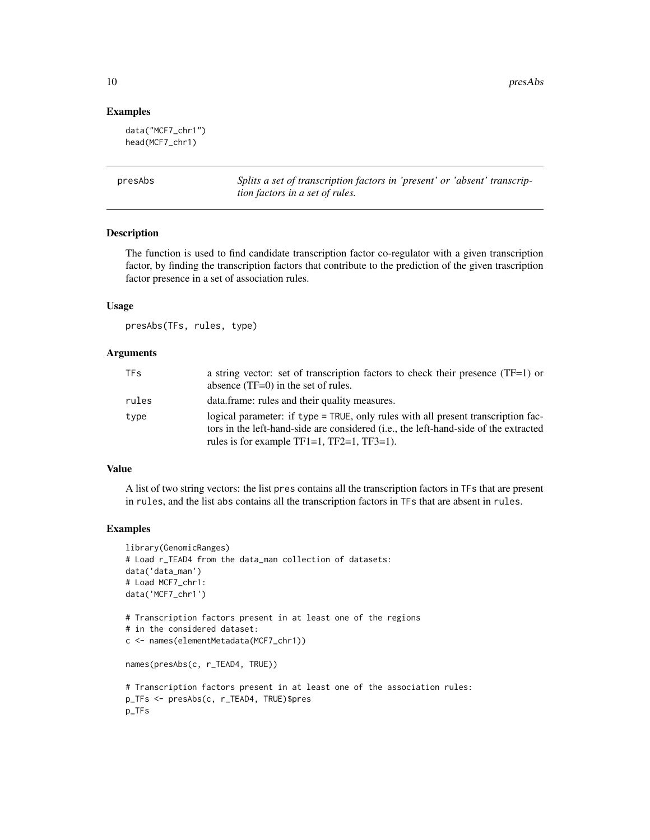#### Examples

```
data("MCF7_chr1")
head(MCF7_chr1)
```
presAbs *Splits a set of transcription factors in 'present' or 'absent' transcription factors in a set of rules.*

#### Description

The function is used to find candidate transcription factor co-regulator with a given transcription factor, by finding the transcription factors that contribute to the prediction of the given trascription factor presence in a set of association rules.

#### Usage

presAbs(TFs, rules, type)

#### Arguments

| <b>TFs</b> | a string vector: set of transcription factors to check their presence $(TF=1)$ or<br>absence $(TF=0)$ in the set of rules.                                                                                                                |
|------------|-------------------------------------------------------------------------------------------------------------------------------------------------------------------------------------------------------------------------------------------|
| rules      | data.frame: rules and their quality measures.                                                                                                                                                                                             |
| type       | logical parameter: if type = TRUE, only rules with all present transcription fac-<br>tors in the left-hand-side are considered ( <i>i.e.</i> , the left-hand-side of the extracted<br>rules is for example $TF1=1$ , $TF2=1$ , $TF3=1$ ). |

#### Value

A list of two string vectors: the list pres contains all the transcription factors in TFs that are present in rules, and the list abs contains all the transcription factors in TFs that are absent in rules.

#### Examples

```
library(GenomicRanges)
# Load r_TEAD4 from the data_man collection of datasets:
data('data_man')
# Load MCF7_chr1:
data('MCF7_chr1')
# Transcription factors present in at least one of the regions
# in the considered dataset:
c <- names(elementMetadata(MCF7_chr1))
```
names(presAbs(c, r\_TEAD4, TRUE))

```
# Transcription factors present in at least one of the association rules:
p_TFs <- presAbs(c, r_TEAD4, TRUE)$pres
p_TFs
```
<span id="page-9-0"></span>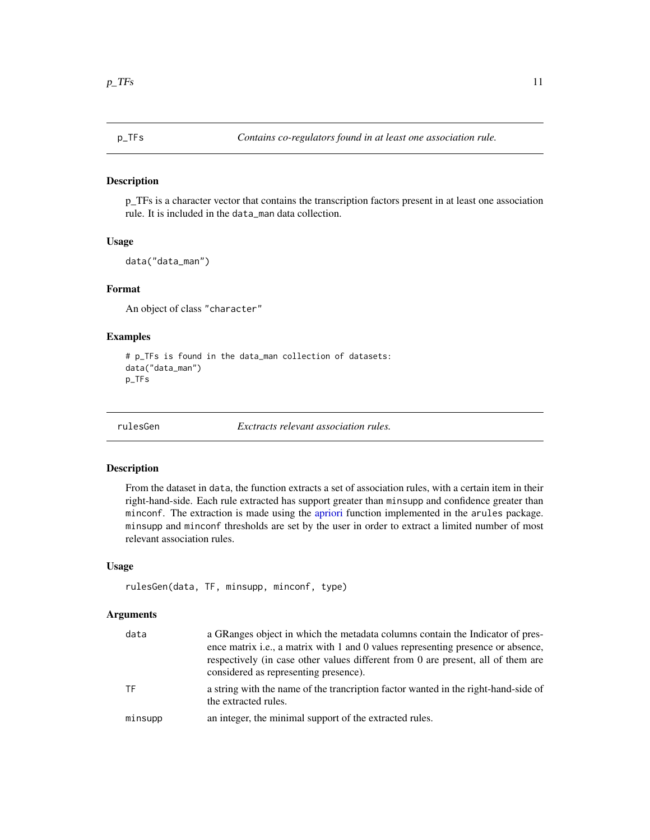#### <span id="page-10-0"></span>Description

p\_TFs is a character vector that contains the transcription factors present in at least one association rule. It is included in the data\_man data collection.

#### Usage

data("data\_man")

#### Format

An object of class "character"

#### Examples

```
# p_TFs is found in the data_man collection of datasets:
data("data_man")
p_TFs
```
<span id="page-10-1"></span>rulesGen *Exctracts relevant association rules.*

#### Description

From the dataset in data, the function extracts a set of association rules, with a certain item in their right-hand-side. Each rule extracted has support greater than minsupp and confidence greater than minconf. The extraction is made using the [apriori](#page-0-0) function implemented in the arules package. minsupp and minconf thresholds are set by the user in order to extract a limited number of most relevant association rules.

#### Usage

```
rulesGen(data, TF, minsupp, minconf, type)
```
#### Arguments

| data    | a GRanges object in which the metadata columns contain the Indicator of pres-<br>ence matrix i.e., a matrix with 1 and 0 values representing presence or absence,<br>respectively (in case other values different from 0 are present, all of them are<br>considered as representing presence). |
|---------|------------------------------------------------------------------------------------------------------------------------------------------------------------------------------------------------------------------------------------------------------------------------------------------------|
| TF      | a string with the name of the trancription factor wanted in the right-hand-side of<br>the extracted rules.                                                                                                                                                                                     |
| minsupp | an integer, the minimal support of the extracted rules.                                                                                                                                                                                                                                        |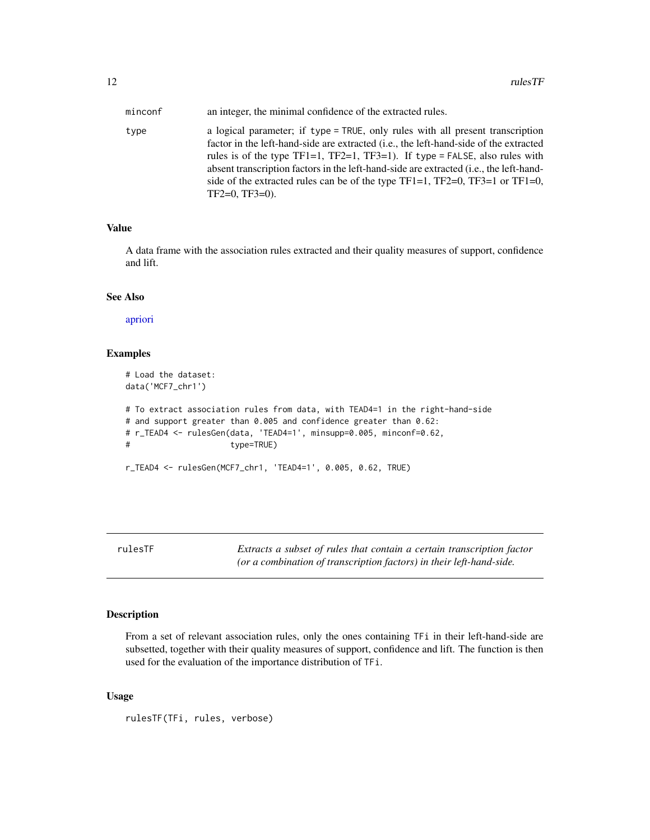<span id="page-11-0"></span>

| minconf | an integer, the minimal confidence of the extracted rules.                                                                                                                                                                                                                                                                                                                                                                                                                   |
|---------|------------------------------------------------------------------------------------------------------------------------------------------------------------------------------------------------------------------------------------------------------------------------------------------------------------------------------------------------------------------------------------------------------------------------------------------------------------------------------|
| type    | a logical parameter; if type = TRUE, only rules with all present transcription<br>factor in the left-hand-side are extracted ( <i>i.e.</i> , the left-hand-side of the extracted<br>rules is of the type TF1=1, TF2=1, TF3=1). If type = FALSE, also rules with<br>absent transcription factors in the left-hand-side are extracted (i.e., the left-hand-<br>side of the extracted rules can be of the type $TF1=1$ , $TF2=0$ , $TF3=1$ or $TF1=0$ ,<br>$TF2=0$ , $TF3=0$ ). |

#### Value

A data frame with the association rules extracted and their quality measures of support, confidence and lift.

#### See Also

[apriori](#page-0-0)

#### Examples

```
# Load the dataset:
data('MCF7_chr1')
# To extract association rules from data, with TEAD4=1 in the right-hand-side
# and support greater than 0.005 and confidence greater than 0.62:
# r_TEAD4 <- rulesGen(data, 'TEAD4=1', minsupp=0.005, minconf=0.62,
# type=TRUE)
r_TEAD4 <- rulesGen(MCF7_chr1, 'TEAD4=1', 0.005, 0.62, TRUE)
```
<span id="page-11-1"></span>rulesTF *Extracts a subset of rules that contain a certain transcription factor (or a combination of transcription factors) in their left-hand-side.*

#### Description

From a set of relevant association rules, only the ones containing TFi in their left-hand-side are subsetted, together with their quality measures of support, confidence and lift. The function is then used for the evaluation of the importance distribution of TFi.

#### Usage

```
rulesTF(TFi, rules, verbose)
```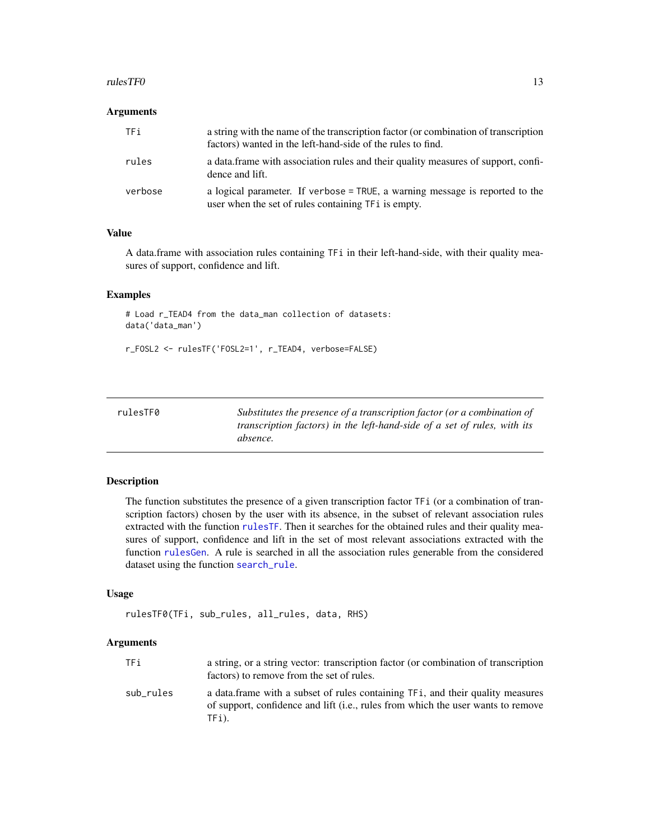#### <span id="page-12-0"></span> $ruleSTF0$  13

#### **Arguments**

| TFi     | a string with the name of the transcription factor (or combination of transcription<br>factors) wanted in the left-hand-side of the rules to find. |
|---------|----------------------------------------------------------------------------------------------------------------------------------------------------|
| rules   | a data frame with association rules and their quality measures of support, confi-<br>dence and lift.                                               |
| verbose | a logical parameter. If verbose = TRUE, a warning message is reported to the<br>user when the set of rules containing TFi is empty.                |

#### Value

A data.frame with association rules containing TFi in their left-hand-side, with their quality measures of support, confidence and lift.

#### Examples

```
# Load r_TEAD4 from the data_man collection of datasets:
data('data_man')
```

```
r_FOSL2 <- rulesTF('FOSL2=1', r_TEAD4, verbose=FALSE)
```
<span id="page-12-1"></span>

| rulesTF0 | Substitutes the presence of a transcription factor (or a combination of  |
|----------|--------------------------------------------------------------------------|
|          | transcription factors) in the left-hand-side of a set of rules, with its |
|          | absence.                                                                 |

#### Description

The function substitutes the presence of a given transcription factor TFi (or a combination of transcription factors) chosen by the user with its absence, in the subset of relevant association rules extracted with the function [rulesTF](#page-11-1). Then it searches for the obtained rules and their quality measures of support, confidence and lift in the set of most relevant associations extracted with the function [rulesGen](#page-10-1). A rule is searched in all the association rules generable from the considered dataset using the function [search\\_rule](#page-15-1).

#### Usage

```
rulesTF0(TFi, sub_rules, all_rules, data, RHS)
```
#### Arguments

| TFi       | a string, or a string vector: transcription factor (or combination of transcription<br>factors) to remove from the set of rules.                                            |
|-----------|-----------------------------------------------------------------------------------------------------------------------------------------------------------------------------|
| sub rules | a data frame with a subset of rules containing TF1, and their quality measures<br>of support, confidence and lift (i.e., rules from which the user wants to remove<br>TFi). |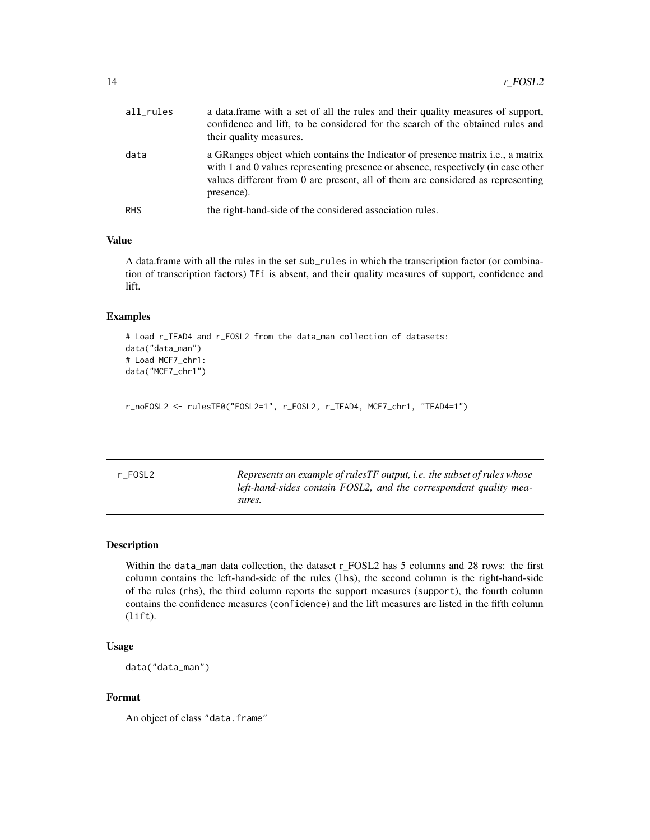<span id="page-13-0"></span>

| all_rules  | a data. frame with a set of all the rules and their quality measures of support,<br>confidence and lift, to be considered for the search of the obtained rules and<br>their quality measures.                                                                                 |
|------------|-------------------------------------------------------------------------------------------------------------------------------------------------------------------------------------------------------------------------------------------------------------------------------|
| data       | a GRanges object which contains the Indicator of presence matrix <i>i.e.</i> , a matrix<br>with 1 and 0 values representing presence or absence, respectively (in case other<br>values different from 0 are present, all of them are considered as representing<br>presence). |
| <b>RHS</b> | the right-hand-side of the considered association rules.                                                                                                                                                                                                                      |

#### Value

A data.frame with all the rules in the set sub\_rules in which the transcription factor (or combination of transcription factors) TFi is absent, and their quality measures of support, confidence and lift.

#### Examples

```
# Load r_TEAD4 and r_FOSL2 from the data_man collection of datasets:
data("data_man")
# Load MCF7_chr1:
data("MCF7_chr1")
```

```
r_noFOSL2 <- rulesTF0("FOSL2=1", r_FOSL2, r_TEAD4, MCF7_chr1, "TEAD4=1")
```

| ٧ |  |
|---|--|
|---|--|

Represents an example of rulesTF output, i.e. the subset of rules whose *left-hand-sides contain FOSL2, and the correspondent quality measures.*

#### Description

Within the data\_man data collection, the dataset r\_FOSL2 has 5 columns and 28 rows: the first column contains the left-hand-side of the rules (lhs), the second column is the right-hand-side of the rules (rhs), the third column reports the support measures (support), the fourth column contains the confidence measures (confidence) and the lift measures are listed in the fifth column (lift).

#### Usage

```
data("data_man")
```
#### Format

An object of class "data.frame"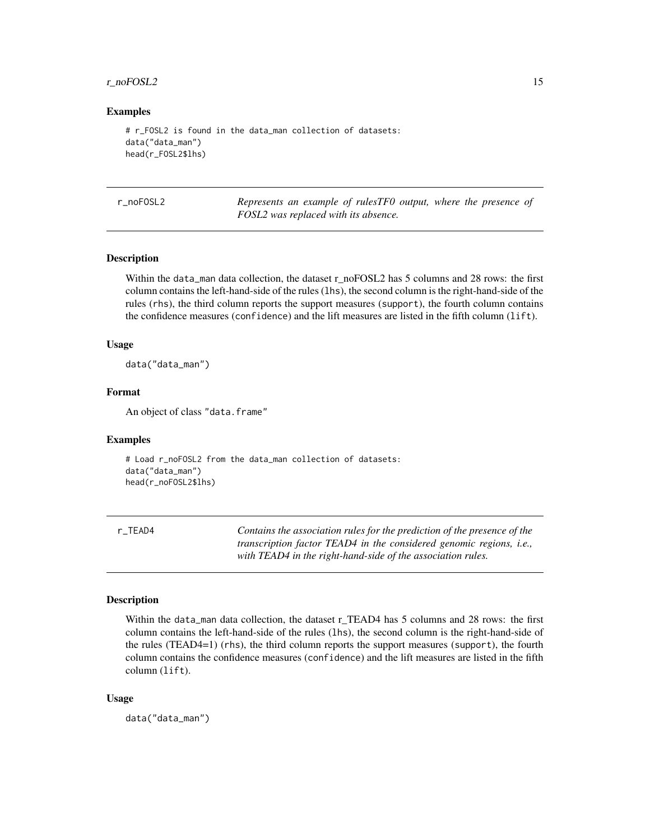#### <span id="page-14-0"></span>r\_noFOSL2 15

#### Examples

```
# r_FOSL2 is found in the data_man collection of datasets:
data("data_man")
head(r_FOSL2$lhs)
```

| r noFOSL2 | Represents an example of rulesTF0 output, where the presence of |
|-----------|-----------------------------------------------------------------|
|           | FOSL2 was replaced with its absence.                            |

#### Description

Within the data\_man data collection, the dataset r\_noFOSL2 has 5 columns and 28 rows: the first column contains the left-hand-side of the rules (lhs), the second column is the right-hand-side of the rules (rhs), the third column reports the support measures (support), the fourth column contains the confidence measures (confidence) and the lift measures are listed in the fifth column (lift).

#### Usage

data("data\_man")

#### Format

An object of class "data.frame"

#### Examples

```
# Load r_noFOSL2 from the data_man collection of datasets:
data("data_man")
head(r_noFOSL2$lhs)
```

| r TEAD4 | Contains the association rules for the prediction of the presence of the    |
|---------|-----------------------------------------------------------------------------|
|         | transcription factor TEAD4 in the considered genomic regions, <i>i.e.</i> , |
|         | with TEAD4 in the right-hand-side of the association rules.                 |

#### Description

Within the data\_man data collection, the dataset r\_TEAD4 has 5 columns and 28 rows: the first column contains the left-hand-side of the rules (lhs), the second column is the right-hand-side of the rules (TEAD4=1) (rhs), the third column reports the support measures (support), the fourth column contains the confidence measures (confidence) and the lift measures are listed in the fifth column (lift).

#### Usage

data("data\_man")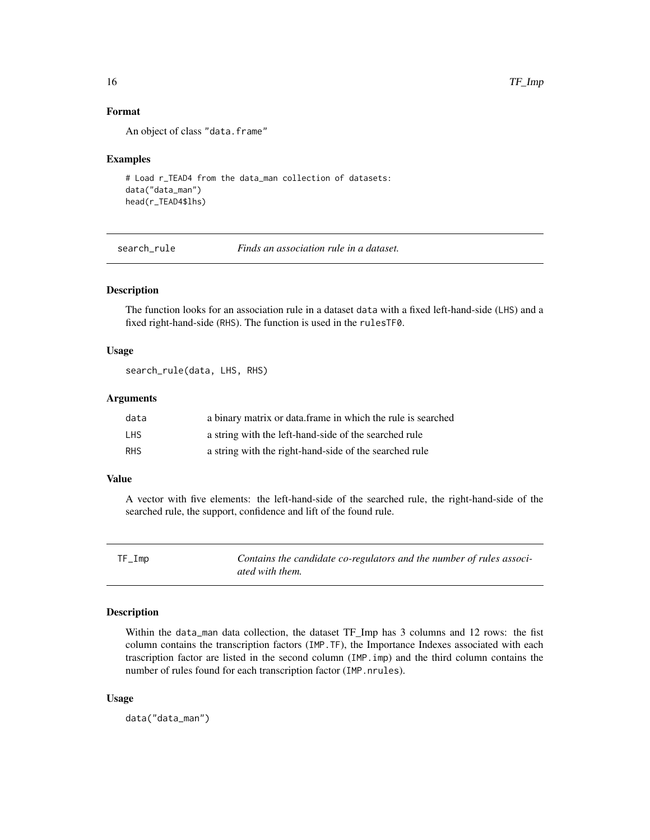#### Format

An object of class "data.frame"

#### Examples

```
# Load r_TEAD4 from the data_man collection of datasets:
data("data_man")
head(r_TEAD4$lhs)
```
<span id="page-15-1"></span>search\_rule *Finds an association rule in a dataset.*

#### Description

The function looks for an association rule in a dataset data with a fixed left-hand-side (LHS) and a fixed right-hand-side (RHS). The function is used in the rulesTF0.

#### Usage

```
search_rule(data, LHS, RHS)
```
#### Arguments

| data       | a binary matrix or data frame in which the rule is searched |
|------------|-------------------------------------------------------------|
| LHS.       | a string with the left-hand-side of the searched rule       |
| <b>RHS</b> | a string with the right-hand-side of the searched rule      |

#### Value

A vector with five elements: the left-hand-side of the searched rule, the right-hand-side of the searched rule, the support, confidence and lift of the found rule.

| $TF_Imp$ | Contains the candidate co-regulators and the number of rules associ- |
|----------|----------------------------------------------------------------------|
|          | ated with them.                                                      |

#### Description

Within the data\_man data collection, the dataset TF\_Imp has 3 columns and 12 rows: the fist column contains the transcription factors (IMP.TF), the Importance Indexes associated with each trascription factor are listed in the second column (IMP.imp) and the third column contains the number of rules found for each transcription factor (IMP.nrules).

#### Usage

data("data\_man")

<span id="page-15-0"></span>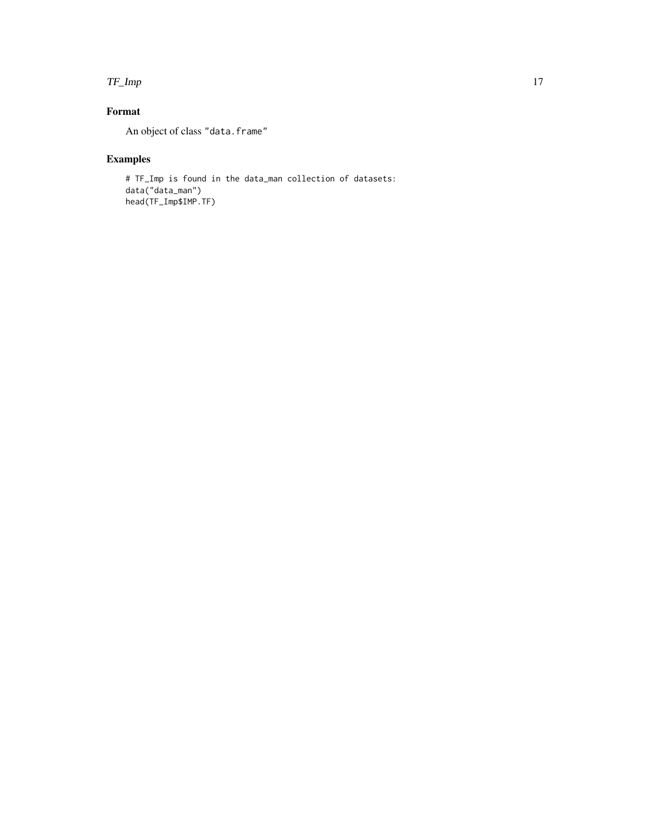#### TF\_Imp 17

## Format

An object of class "data.frame"

## Examples

# TF\_Imp is found in the data\_man collection of datasets: data("data\_man") head(TF\_Imp\$IMP.TF)